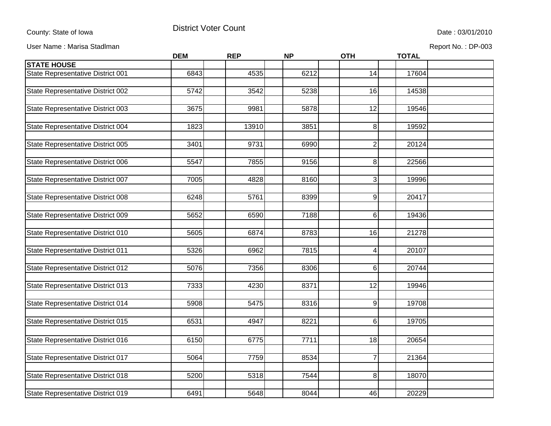County: State of Iowa **District Voter Count** District Voter Count Count Date : 03/01/2010

User Name : Marisa Stadlman **Report No. : DP-003** 

|                                   | <b>DEM</b> | <b>REP</b> | <b>NP</b> | <b>OTH</b>      | <b>TOTAL</b> |  |
|-----------------------------------|------------|------------|-----------|-----------------|--------------|--|
| <b>STATE HOUSE</b>                |            |            |           |                 |              |  |
| State Representative District 001 | 6843       | 4535       | 6212      | 14              | 17604        |  |
|                                   |            |            |           |                 |              |  |
| State Representative District 002 | 5742       | 3542       | 5238      | 16              | 14538        |  |
|                                   |            |            |           |                 |              |  |
| State Representative District 003 | 3675       | 9981       | 5878      | 12              | 19546        |  |
|                                   |            |            |           |                 |              |  |
| State Representative District 004 | 1823       | 13910      | 3851      | 8               | 19592        |  |
|                                   |            |            |           |                 |              |  |
| State Representative District 005 | 3401       | 9731       | 6990      | $\overline{2}$  | 20124        |  |
|                                   |            |            |           |                 |              |  |
| State Representative District 006 | 5547       | 7855       | 9156      | 8               | 22566        |  |
|                                   |            |            |           |                 |              |  |
| State Representative District 007 | 7005       | 4828       | 8160      | 3               | 19996        |  |
|                                   |            |            |           |                 |              |  |
| State Representative District 008 | 6248       | 5761       | 8399      | 9               | 20417        |  |
|                                   |            |            |           |                 |              |  |
| State Representative District 009 | 5652       | 6590       | 7188      | 6               | 19436        |  |
|                                   |            |            |           |                 |              |  |
| State Representative District 010 | 5605       | 6874       | 8783      | 16              | 21278        |  |
|                                   |            |            |           |                 |              |  |
| State Representative District 011 | 5326       | 6962       | 7815      | 4               | 20107        |  |
|                                   |            |            |           |                 |              |  |
| State Representative District 012 | 5076       | 7356       | 8306      | 6               | 20744        |  |
|                                   |            |            |           |                 |              |  |
| State Representative District 013 | 7333       | 4230       | 8371      | 12              | 19946        |  |
|                                   |            |            |           |                 |              |  |
| State Representative District 014 | 5908       | 5475       | 8316      | 9               | 19708        |  |
|                                   |            |            |           |                 |              |  |
| State Representative District 015 | 6531       | 4947       | 8221      | 6               | 19705        |  |
|                                   |            |            |           |                 |              |  |
| State Representative District 016 | 6150       | 6775       | 7711      | $\overline{18}$ | 20654        |  |
|                                   |            |            |           |                 |              |  |
| State Representative District 017 | 5064       | 7759       | 8534      | $\overline{7}$  | 21364        |  |
|                                   |            |            |           |                 |              |  |
| State Representative District 018 | 5200       | 5318       | 7544      | 8               | 18070        |  |
|                                   |            |            |           |                 |              |  |
| State Representative District 019 | 6491       | 5648       | 8044      | 46              | 20229        |  |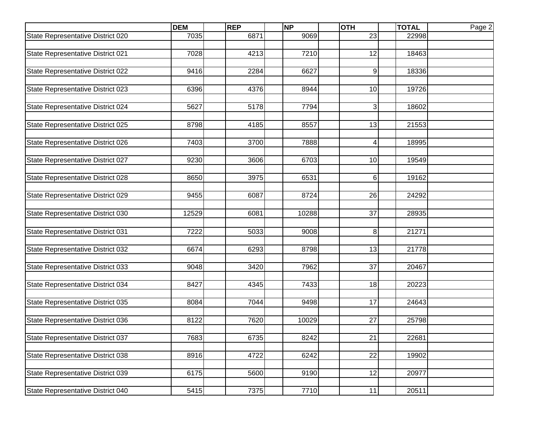| 23<br>State Representative District 020<br>7035<br>6871<br>9069<br>22998<br>7028<br>4213<br>7210<br>12<br>State Representative District 021<br>18463<br>State Representative District 022<br>9416<br>6627<br>2284<br>9<br>18336<br>6396<br>State Representative District 023<br>4376<br>8944<br>10<br>19726 |
|-------------------------------------------------------------------------------------------------------------------------------------------------------------------------------------------------------------------------------------------------------------------------------------------------------------|
|                                                                                                                                                                                                                                                                                                             |
|                                                                                                                                                                                                                                                                                                             |
|                                                                                                                                                                                                                                                                                                             |
|                                                                                                                                                                                                                                                                                                             |
|                                                                                                                                                                                                                                                                                                             |
|                                                                                                                                                                                                                                                                                                             |
|                                                                                                                                                                                                                                                                                                             |
|                                                                                                                                                                                                                                                                                                             |
| State Representative District 024<br>5627<br>5178<br>$\overline{3}$<br>7794<br>18602                                                                                                                                                                                                                        |
|                                                                                                                                                                                                                                                                                                             |
| 8798<br>8557<br>13<br>State Representative District 025<br>4185<br>21553                                                                                                                                                                                                                                    |
|                                                                                                                                                                                                                                                                                                             |
| State Representative District 026<br>7403<br>3700<br>7888<br>18995<br>4                                                                                                                                                                                                                                     |
| 9230<br>3606<br>6703<br>10<br>19549                                                                                                                                                                                                                                                                         |
| State Representative District 027                                                                                                                                                                                                                                                                           |
| State Representative District 028<br>8650<br>3975<br>6531<br>19162<br>61                                                                                                                                                                                                                                    |
|                                                                                                                                                                                                                                                                                                             |
| 9455<br>State Representative District 029<br>6087<br>8724<br>26<br>24292                                                                                                                                                                                                                                    |
|                                                                                                                                                                                                                                                                                                             |
| 12529<br>37<br>State Representative District 030<br>6081<br>10288<br>28935                                                                                                                                                                                                                                  |
|                                                                                                                                                                                                                                                                                                             |
| State Representative District 031<br>7222<br>5033<br>9008<br>8<br>21271                                                                                                                                                                                                                                     |
|                                                                                                                                                                                                                                                                                                             |
| State Representative District 032<br>6674<br>6293<br>13<br>21778<br>8798                                                                                                                                                                                                                                    |
|                                                                                                                                                                                                                                                                                                             |
| 37<br>State Representative District 033<br>9048<br>3420<br>7962<br>20467                                                                                                                                                                                                                                    |
|                                                                                                                                                                                                                                                                                                             |
| State Representative District 034<br>8427<br>4345<br>7433<br>18<br>20223                                                                                                                                                                                                                                    |
|                                                                                                                                                                                                                                                                                                             |
| 17<br>8084<br>7044<br>9498<br>State Representative District 035<br>24643                                                                                                                                                                                                                                    |
| 27<br>State Representative District 036<br>8122<br>7620<br>10029<br>25798                                                                                                                                                                                                                                   |
|                                                                                                                                                                                                                                                                                                             |
| State Representative District 037<br>7683<br>6735<br>8242<br>21<br>22681                                                                                                                                                                                                                                    |
|                                                                                                                                                                                                                                                                                                             |
| State Representative District 038<br>8916<br>4722<br>6242<br>22<br>19902                                                                                                                                                                                                                                    |
|                                                                                                                                                                                                                                                                                                             |
| State Representative District 039<br>6175<br>5600<br>9190<br>12<br>20977                                                                                                                                                                                                                                    |
|                                                                                                                                                                                                                                                                                                             |
| 7375<br>7710<br>11<br>State Representative District 040<br>5415<br>20511                                                                                                                                                                                                                                    |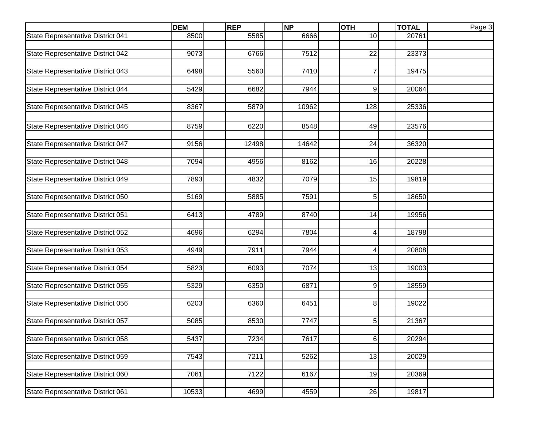|                                   | <b>DEM</b> | <b>REP</b> | <b>NP</b> | <b>OTH</b>     | <b>TOTAL</b> | Page 3 |
|-----------------------------------|------------|------------|-----------|----------------|--------------|--------|
| State Representative District 041 | 8500       | 5585       | 6666      | 10             | 20761        |        |
|                                   |            |            |           |                |              |        |
| State Representative District 042 | 9073       | 6766       | 7512      | 22             | 23373        |        |
|                                   |            |            |           |                |              |        |
| State Representative District 043 | 6498       | 5560       | 7410      | 7              | 19475        |        |
|                                   |            |            |           |                |              |        |
| State Representative District 044 | 5429       | 6682       | 7944      | 9              | 20064        |        |
|                                   |            |            |           |                |              |        |
| State Representative District 045 | 8367       | 5879       | 10962     | 128            | 25336        |        |
|                                   |            |            |           |                |              |        |
| State Representative District 046 | 8759       | 6220       | 8548      | 49             | 23576        |        |
|                                   |            |            |           |                |              |        |
| State Representative District 047 | 9156       | 12498      | 14642     | 24             | 36320        |        |
|                                   |            |            |           |                |              |        |
| State Representative District 048 | 7094       | 4956       | 8162      | 16             | 20228        |        |
|                                   | 7893       | 4832       | 7079      | 15             | 19819        |        |
| State Representative District 049 |            |            |           |                |              |        |
| State Representative District 050 | 5169       | 5885       | 7591      | 5 <sub>l</sub> | 18650        |        |
|                                   |            |            |           |                |              |        |
| State Representative District 051 | 6413       | 4789       | 8740      | 14             | 19956        |        |
|                                   |            |            |           |                |              |        |
| State Representative District 052 | 4696       | 6294       | 7804      | $\overline{4}$ | 18798        |        |
|                                   |            |            |           |                |              |        |
| State Representative District 053 | 4949       | 7911       | 7944      | $\overline{4}$ | 20808        |        |
|                                   |            |            |           |                |              |        |
| State Representative District 054 | 5823       | 6093       | 7074      | 13             | 19003        |        |
|                                   |            |            |           |                |              |        |
| State Representative District 055 | 5329       | 6350       | 6871      | 9              | 18559        |        |
|                                   |            |            |           |                |              |        |
| State Representative District 056 | 6203       | 6360       | 6451      | 8 <sup>1</sup> | 19022        |        |
|                                   |            |            |           |                |              |        |
| State Representative District 057 | 5085       | 8530       | 7747      | 5              | 21367        |        |
|                                   |            |            |           |                |              |        |
| State Representative District 058 | 5437       | 7234       | 7617      | 6              | 20294        |        |
|                                   |            |            |           |                |              |        |
| State Representative District 059 | 7543       | 7211       | 5262      | 13             | 20029        |        |
|                                   |            |            |           |                |              |        |
| State Representative District 060 | 7061       | 7122       | 6167      | 19             | 20369        |        |
|                                   |            |            |           |                |              |        |
| State Representative District 061 | 10533      | 4699       | 4559      | 26             | 19817        |        |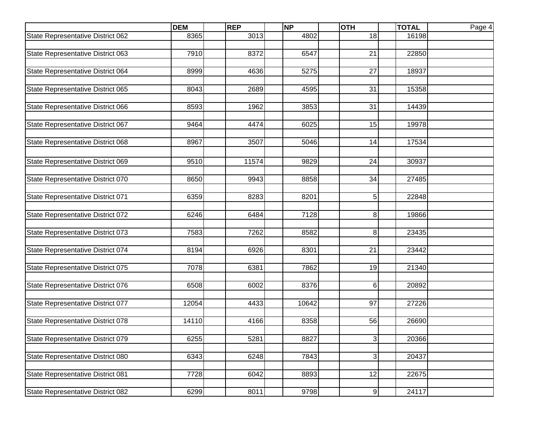|                                   | <b>DEM</b> | <b>REP</b> | <b>NP</b> | <b>OTH</b>     | <b>TOTAL</b> | Page 4 |
|-----------------------------------|------------|------------|-----------|----------------|--------------|--------|
| State Representative District 062 | 8365       | 3013       | 4802      | 18             | 16198        |        |
|                                   |            |            |           |                |              |        |
| State Representative District 063 | 7910       | 8372       | 6547      | 21             | 22850        |        |
|                                   |            |            |           |                |              |        |
| State Representative District 064 | 8999       | 4636       | 5275      | 27             | 18937        |        |
|                                   |            |            |           |                |              |        |
| State Representative District 065 | 8043       | 2689       | 4595      | 31             | 15358        |        |
|                                   |            |            |           |                |              |        |
| State Representative District 066 | 8593       | 1962       | 3853      | 31             | 14439        |        |
|                                   |            |            |           |                |              |        |
| State Representative District 067 | 9464       | 4474       | 6025      | 15             | 19978        |        |
| State Representative District 068 | 8967       | 3507       | 5046      | 14             | 17534        |        |
|                                   |            |            |           |                |              |        |
|                                   |            |            |           |                |              |        |
| State Representative District 069 | 9510       | 11574      | 9829      | 24             | 30937        |        |
|                                   | 8650       |            | 8858      |                |              |        |
| State Representative District 070 |            | 9943       |           | 34             | 27485        |        |
| State Representative District 071 | 6359       | 8283       | 8201      | 5              | 22848        |        |
|                                   |            |            |           |                |              |        |
| State Representative District 072 | 6246       | 6484       | 7128      | 8 <sup>1</sup> | 19866        |        |
|                                   |            |            |           |                |              |        |
| State Representative District 073 | 7583       | 7262       | 8582      | 8 <sup>1</sup> | 23435        |        |
|                                   |            |            |           |                |              |        |
| State Representative District 074 | 8194       | 6926       | 8301      | 21             | 23442        |        |
|                                   |            |            |           |                |              |        |
| State Representative District 075 | 7078       | 6381       | 7862      | 19             | 21340        |        |
|                                   |            |            |           |                |              |        |
| State Representative District 076 | 6508       | 6002       | 8376      | $6 \mid$       | 20892        |        |
|                                   |            |            |           |                |              |        |
| State Representative District 077 | 12054      | 4433       | 10642     | 97             | 27226        |        |
|                                   |            |            |           |                |              |        |
| State Representative District 078 | 14110      | 4166       | 8358      | 56             | 26690        |        |
|                                   |            |            |           |                |              |        |
| State Representative District 079 | 6255       | 5281       | 8827      | 3              | 20366        |        |
|                                   |            |            |           |                |              |        |
| State Representative District 080 | 6343       | 6248       | 7843      | $\overline{3}$ | 20437        |        |
|                                   |            |            |           |                |              |        |
| State Representative District 081 | 7728       | 6042       | 8893      | 12             | 22675        |        |
|                                   |            |            |           |                |              |        |
| State Representative District 082 | 6299       | 8011       | 9798      | 9              | 24117        |        |